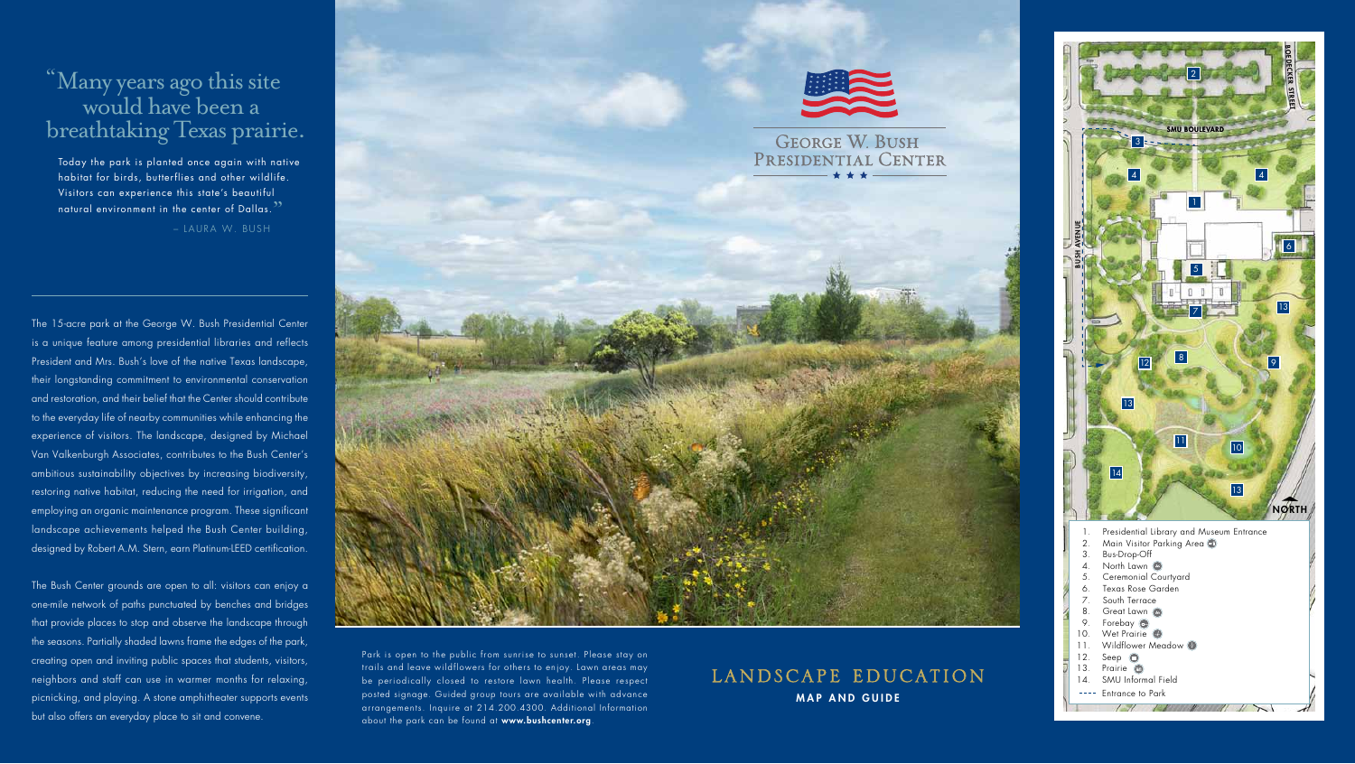Today the park is planted once again with native habitat for birds, butterflies and other wildlife. Visitors can experience this state's beautiful natural environment in the center of Dallas.<sup>23</sup>

 $\overline{a}$ 

# "Many years ago this site would have been a breathtaking Texas prairie.

– LAURA W. BUSH

The 15-acre park at the George W. Bush Presidential Center is a unique feature among presidential libraries and reflects President and Mrs. Bush's love of the native Texas landscape, their longstanding commitment to environmental conservation and restoration, and their belief that the Center should contribute to the everyday life of nearby communities while enhancing the experience of visitors. The landscape, designed by Michael Van Valkenburgh Associates, contributes to the Bush Center's ambitious sustainability objectives by increasing biodiversity, restoring native habitat, reducing the need for irrigation, and employing an organic maintenance program. These significant landscape achievements helped the Bush Center building, designed by Robert A.M. Stern, earn Platinum-LEED certification.

The Bush Center grounds are open to all: visitors can enjoy a one-mile network of paths punctuated by benches and bridges that provide places to stop and observe the landscape through the seasons. Partially shaded lawns frame the edges of the park, creating open and inviting public spaces that students, visitors, neighbors and staff can use in warmer months for relaxing, picnicking, and playing. A stone amphitheater supports events but also offers an everyday place to sit and convene.



Park is open to the public from sunrise to sunset. Please stay on trails and leave wildflowers for others to enjoy. Lawn areas may be periodically closed to restore lawn health. Please respect posted signage. Guided group tours are available with advance arrangements. Inquire at 214.200.4300. Additional Information about the park can be found at www.bushcenter.org.

## LANDSCAPE EDUCATION **MAP AND GUIDE**